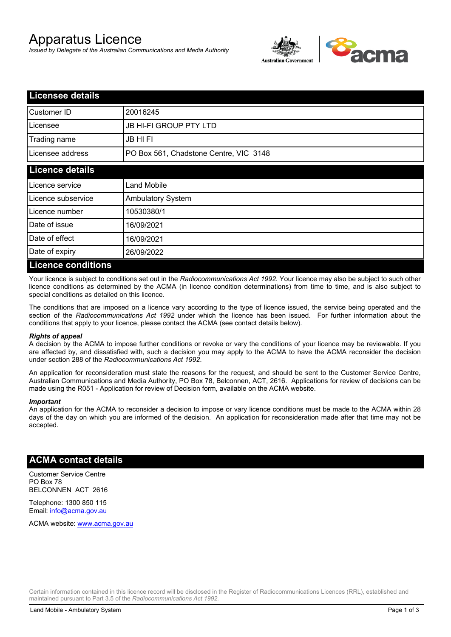# Apparatus Licence

*Issued by Delegate of the Australian Communications and Media Authority*



| <b>Licensee details</b>   |                                        |
|---------------------------|----------------------------------------|
| Customer ID               | 20016245                               |
| Licensee                  | <b>JB HI-FI GROUP PTY LTD</b>          |
| Trading name              | <b>JB HIFI</b>                         |
| Licensee address          | PO Box 561, Chadstone Centre, VIC 3148 |
| <b>Licence details</b>    |                                        |
| Licence service           | <b>Land Mobile</b>                     |
| Licence subservice        | <b>Ambulatory System</b>               |
| Licence number            | 10530380/1                             |
| Date of issue             | 16/09/2021                             |
| Date of effect            | 16/09/2021                             |
| Date of expiry            | 26/09/2022                             |
| <b>Licence conditions</b> |                                        |

Your licence is subject to conditions set out in the *Radiocommunications Act 1992*. Your licence may also be subject to such other licence conditions as determined by the ACMA (in licence condition determinations) from time to time, and is also subject to special conditions as detailed on this licence.

The conditions that are imposed on a licence vary according to the type of licence issued, the service being operated and the section of the *Radiocommunications Act 1992* under which the licence has been issued. For further information about the conditions that apply to your licence, please contact the ACMA (see contact details below).

#### *Rights of appeal*

A decision by the ACMA to impose further conditions or revoke or vary the conditions of your licence may be reviewable. If you are affected by, and dissatisfied with, such a decision you may apply to the ACMA to have the ACMA reconsider the decision under section 288 of the *Radiocommunications Act 1992*.

An application for reconsideration must state the reasons for the request, and should be sent to the Customer Service Centre, Australian Communications and Media Authority, PO Box 78, Belconnen, ACT, 2616. Applications for review of decisions can be made using the R051 - Application for review of Decision form, available on the ACMA website.

#### *Important*

An application for the ACMA to reconsider a decision to impose or vary licence conditions must be made to the ACMA within 28 days of the day on which you are informed of the decision. An application for reconsideration made after that time may not be accepted.

### **ACMA contact details**

Customer Service Centre PO Box 78 BELCONNEN ACT 2616

Telephone: 1300 850 115 Email: info@acma.gov.au

ACMA website: www.acma.gov.au

Certain information contained in this licence record will be disclosed in the Register of Radiocommunications Licences (RRL), established and maintained pursuant to Part 3.5 of the *Radiocommunications Act 1992.*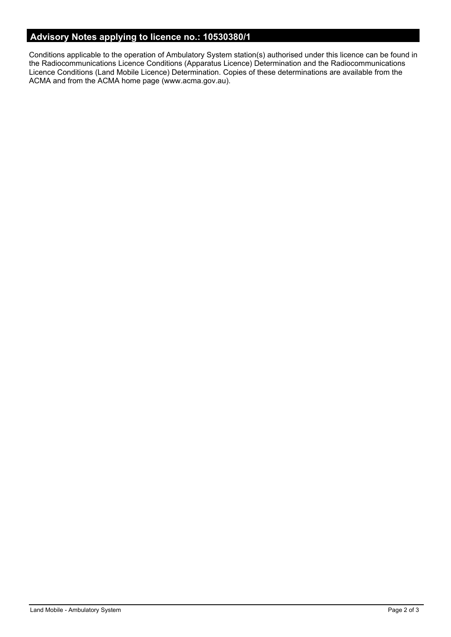# **Advisory Notes applying to licence no.: 10530380/1**

Conditions applicable to the operation of Ambulatory System station(s) authorised under this licence can be found in the Radiocommunications Licence Conditions (Apparatus Licence) Determination and the Radiocommunications Licence Conditions (Land Mobile Licence) Determination. Copies of these determinations are available from the ACMA and from the ACMA home page (www.acma.gov.au).